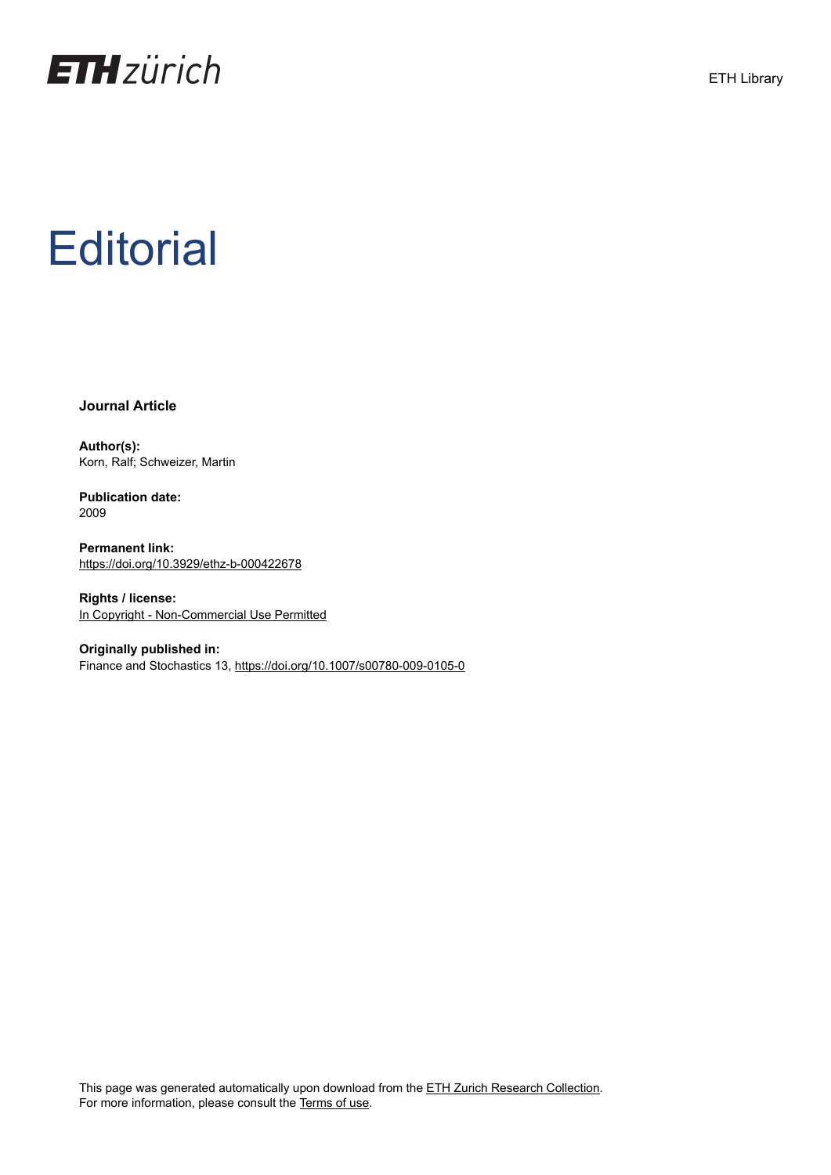

## **Editorial**

**Journal Article**

**Author(s):** Korn, Ralf; Schweizer, Martin

**Publication date:** 2009

**Permanent link:** <https://doi.org/10.3929/ethz-b-000422678>

**Rights / license:** [In Copyright - Non-Commercial Use Permitted](http://rightsstatements.org/page/InC-NC/1.0/)

**Originally published in:** Finance and Stochastics 13,<https://doi.org/10.1007/s00780-009-0105-0>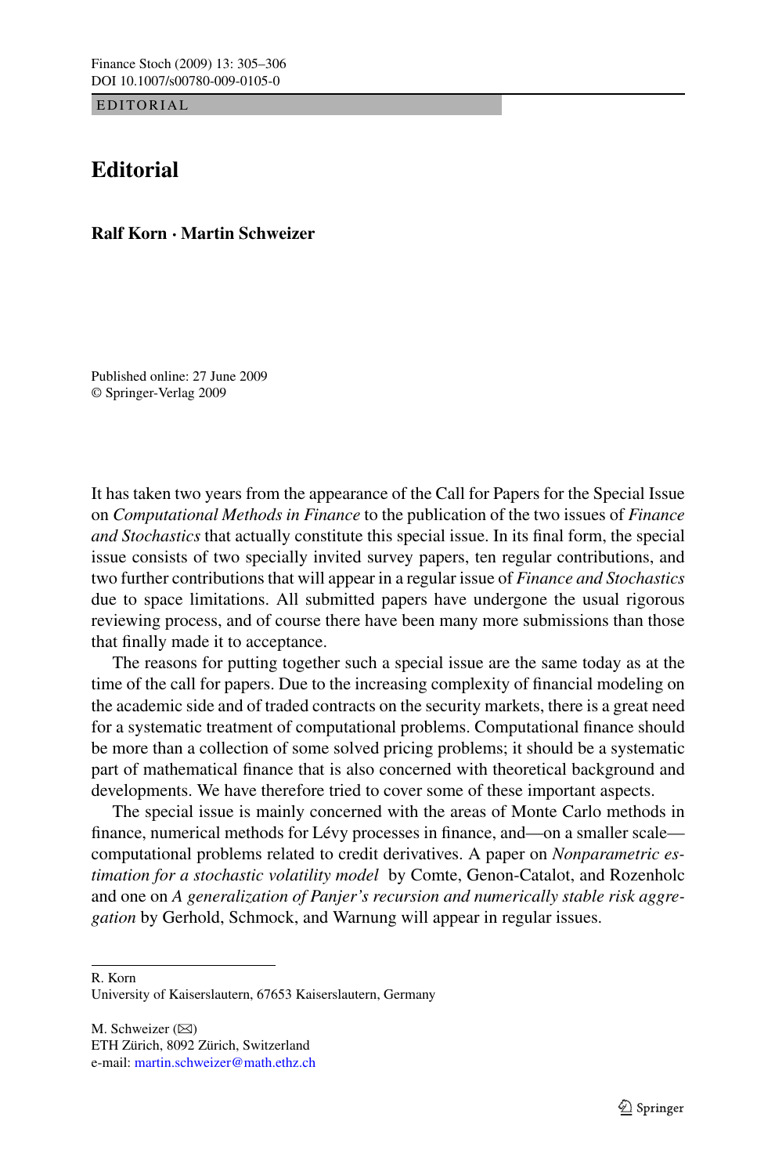EDITORIAL

## **Editorial**

**Ralf Korn · Martin Schweizer**

Published online: 27 June 2009 © Springer-Verlag 2009

It has taken two years from the appearance of the Call for Papers for the Special Issue on *Computational Methods in Finance* to the publication of the two issues of *Finance and Stochastics* that actually constitute this special issue. In its final form, the special issue consists of two specially invited survey papers, ten regular contributions, and two further contributions that will appear in a regular issue of *Finance and Stochastics* due to space limitations. All submitted papers have undergone the usual rigorous reviewing process, and of course there have been many more submissions than those that finally made it to acceptance.

The reasons for putting together such a special issue are the same today as at the time of the call for papers. Due to the increasing complexity of financial modeling on the academic side and of traded contracts on the security markets, there is a great need for a systematic treatment of computational problems. Computational finance should be more than a collection of some solved pricing problems; it should be a systematic part of mathematical finance that is also concerned with theoretical background and developments. We have therefore tried to cover some of these important aspects.

The special issue is mainly concerned with the areas of Monte Carlo methods in finance, numerical methods for Lévy processes in finance, and—on a smaller scale computational problems related to credit derivatives. A paper on *Nonparametric estimation for a stochastic volatility model* by Comte, Genon-Catalot, and Rozenholc and one on *A generalization of Panjer's recursion and numerically stable risk aggregation* by Gerhold, Schmock, and Warnung will appear in regular issues.

M. Schweizer  $(\boxtimes)$ ETH Zürich, 8092 Zürich, Switzerland e-mail: [martin.schweizer@math.ethz.ch](mailto:martin.schweizer@math.ethz.ch)

R. Korn

University of Kaiserslautern, 67653 Kaiserslautern, Germany